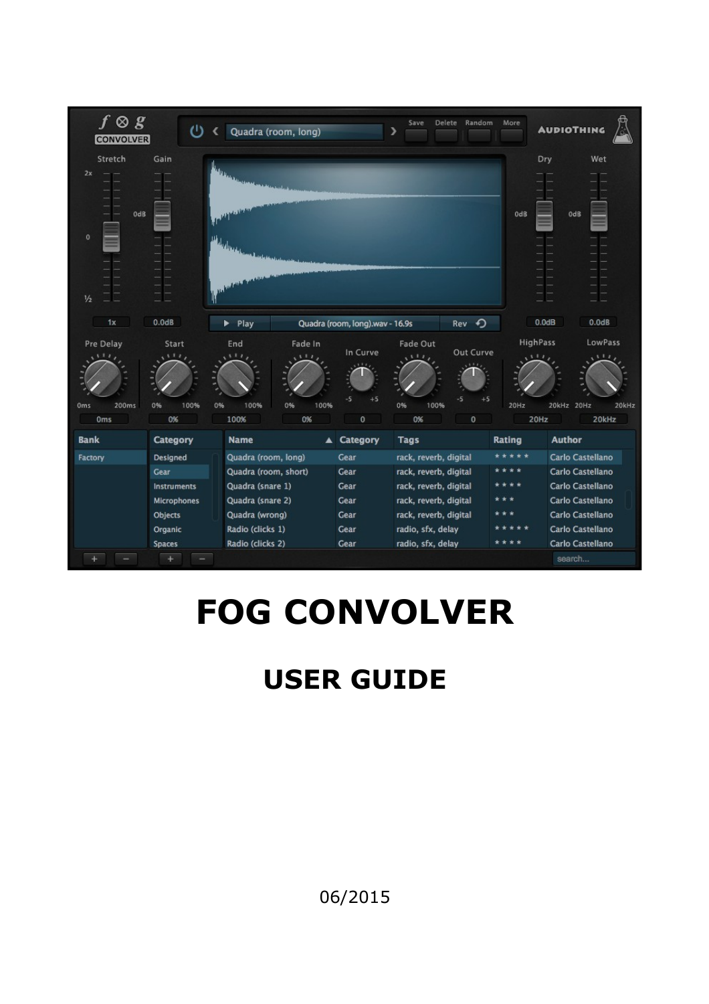| $f \otimes g$<br><b>CONVOLVER</b>                | ഄ                                                                                                                        |                                                                                                                                               | Quadra (room, long)                |                                                      | Save<br>⋗                                                                                                                                                           | <b>Delete</b><br>Random      | More                            | <b>AUDIOTHING</b>                                                                                                                                                       |
|--------------------------------------------------|--------------------------------------------------------------------------------------------------------------------------|-----------------------------------------------------------------------------------------------------------------------------------------------|------------------------------------|------------------------------------------------------|---------------------------------------------------------------------------------------------------------------------------------------------------------------------|------------------------------|---------------------------------|-------------------------------------------------------------------------------------------------------------------------------------------------------------------------|
| Stretch<br>2x<br>OdB<br>$\circ$<br>$\frac{1}{2}$ | Gain                                                                                                                     | The first company and a<br>مستعاديها<br><b>Algebraic</b><br>مقباسي المعسة                                                                     |                                    |                                                      |                                                                                                                                                                     |                              | OdB                             | Wet<br>Dry<br>OdB                                                                                                                                                       |
| 1x                                               | 0.0dB                                                                                                                    | $\blacktriangleright$ Play                                                                                                                    |                                    | Quadra (room, long).wav - 16.9s                      |                                                                                                                                                                     | Rev +                        |                                 | 0.0dB<br>0.0dB                                                                                                                                                          |
| Pre Delay<br>200ms<br>Oms<br>0 <sub>ms</sub>     | Start<br>$\overline{1}$<br>100%<br>0%<br>0%                                                                              | End<br>ш,<br>0%<br>100%<br>100%                                                                                                               | Fade In<br>111<br>0%<br>100%<br>0% | In Curve<br>-5<br>$+5$<br>$\pmb{0}$                  | Fade Out<br>111,<br>0%<br>100%<br>0%                                                                                                                                | Out Curve<br>-5<br>$+5$<br>0 | HighPass<br>111<br>20Hz<br>20Hz | LowPass<br>111<br>20kHz<br>20Hz<br>20kHz<br>20kHz                                                                                                                       |
| <b>Bank</b>                                      | <b>Category</b>                                                                                                          | <b>Name</b>                                                                                                                                   |                                    | ▲ Category                                           | <b>Tags</b>                                                                                                                                                         |                              | <b>Rating</b>                   | <b>Author</b>                                                                                                                                                           |
| Factory                                          | <b>Designed</b><br><b>Gear</b><br><b>Instruments</b><br><b>Microphones</b><br>Objects<br>Organic<br><b>Spaces</b><br>$+$ | Quadra (room, long)<br>Quadra (room, short)<br>Quadra (snare 1)<br>Quadra (snare 2)<br>Quadra (wrong)<br>Radio (clicks 1)<br>Radio (clicks 2) |                                    | Gear<br>Gear<br>Gear<br>Gear<br>Gear<br>Gear<br>Gear | rack, reverb, digital<br>rack, reverb, digital<br>rack, reverb, digital<br>rack, reverb, digital<br>rack, reverb, digital<br>radio, sfx, delay<br>radio, sfx, delay |                              | $\ast$<br>* * * *               | <b>Carlo Castellano</b><br><b>Carlo Castellano</b><br>Carlo Castellano<br>Carlo Castellano<br>Carlo Castellano<br>Carlo Castellano<br><b>Carlo Castellano</b><br>search |

# **FOG CONVOLVER**

## **USER GUIDE**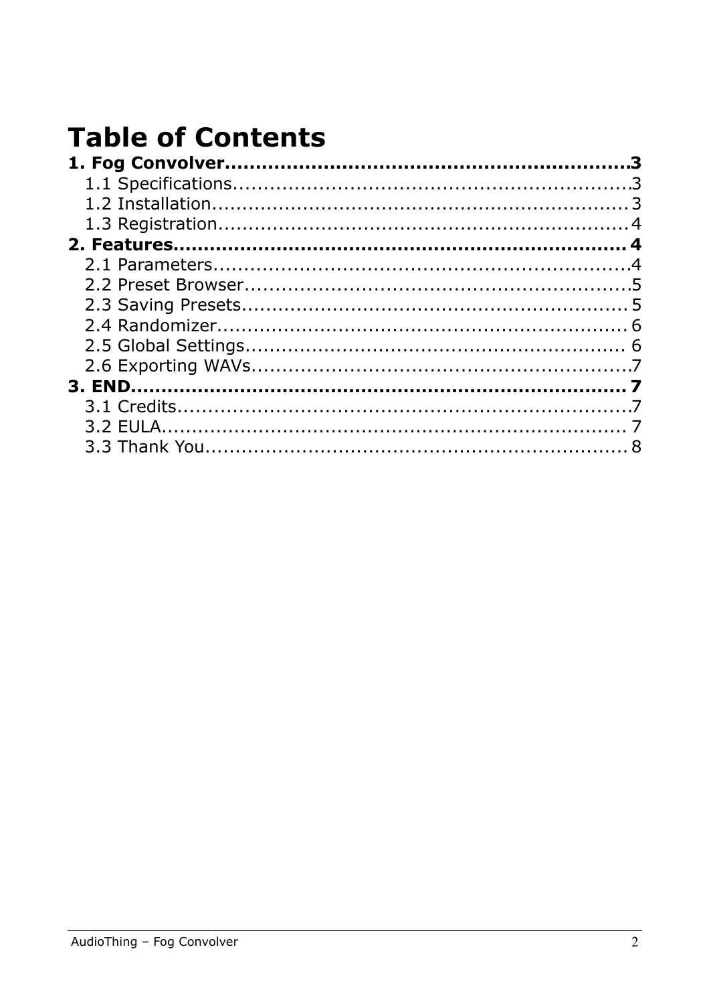## **Table of Contents**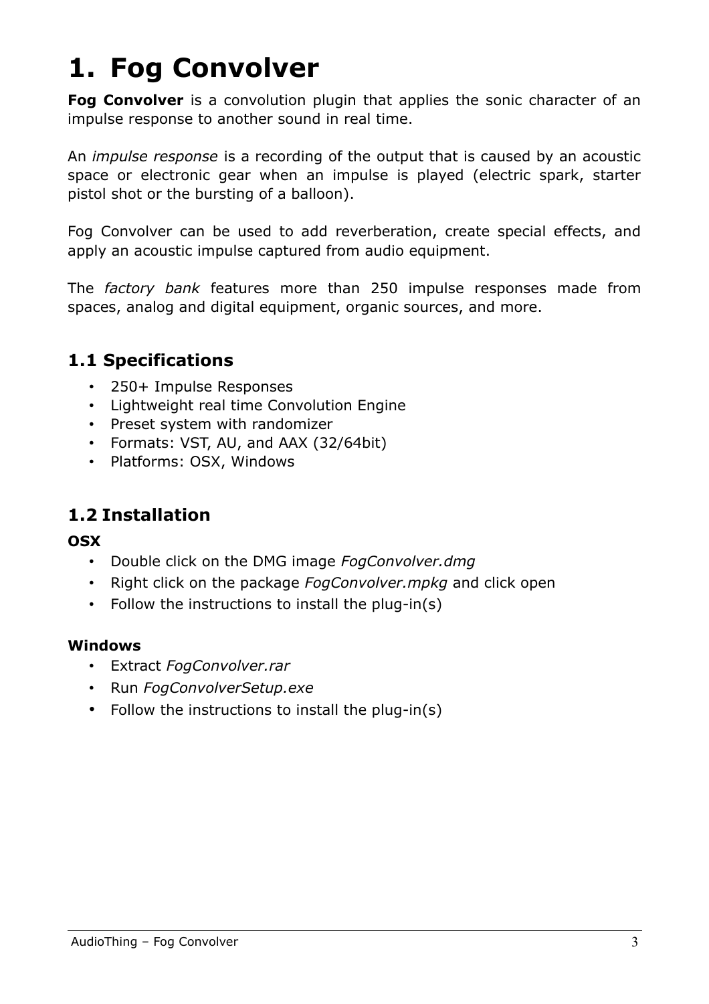## **1. Fog Convolver**

**Fog Convolver** is a convolution plugin that applies the sonic character of an impulse response to another sound in real time.

An *impulse response* is a recording of the output that is caused by an acoustic space or electronic gear when an impulse is played (electric spark, starter pistol shot or the bursting of a balloon).

Fog Convolver can be used to add reverberation, create special effects, and apply an acoustic impulse captured from audio equipment.

The *factory bank* features more than 250 impulse responses made from spaces, analog and digital equipment, organic sources, and more.

#### **1.1 Specifications**

- 250+ Impulse Responses
- Lightweight real time Convolution Engine
- Preset system with randomizer
- Formats: VST, AU, and AAX (32/64bit)
- Platforms: OSX, Windows

### **1.2 Installation**

#### **OSX**

- Double click on the DMG image *FogConvolver.dmg*
- Right click on the package *FogConvolver.mpkg* and click open
- Follow the instructions to install the plug-in(s)

#### **Windows**

- Extract *FogConvolver.rar*
- Run *FogConvolverSetup.exe*
- Follow the instructions to install the plug-in(s)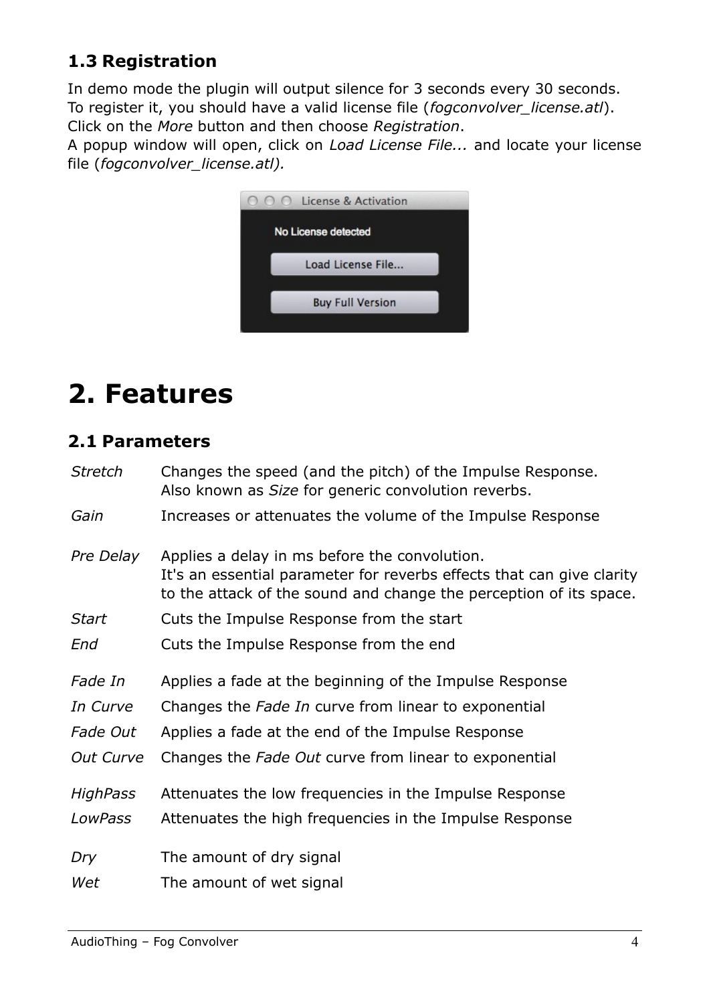### **1.3 Registration**

In demo mode the plugin will output silence for 3 seconds every 30 seconds. To register it, you should have a valid license file (*fogconvolver\_license.atl*). Click on the *More* button and then choose *Registration*.

A popup window will open, click on *Load License File...* and locate your license file (*fogconvolver\_license.atl).*



## **2. Features**

#### **2.1 Parameters**

| <b>Stretch</b>  | Changes the speed (and the pitch) of the Impulse Response.<br>Also known as Size for generic convolution reverbs.                                                                            |
|-----------------|----------------------------------------------------------------------------------------------------------------------------------------------------------------------------------------------|
| Gain            | Increases or attenuates the volume of the Impulse Response                                                                                                                                   |
| Pre Delay       | Applies a delay in ms before the convolution.<br>It's an essential parameter for reverbs effects that can give clarity<br>to the attack of the sound and change the perception of its space. |
| <b>Start</b>    | Cuts the Impulse Response from the start                                                                                                                                                     |
| End             | Cuts the Impulse Response from the end                                                                                                                                                       |
| Fade In         | Applies a fade at the beginning of the Impulse Response                                                                                                                                      |
| In Curve        | Changes the Fade In curve from linear to exponential                                                                                                                                         |
| Fade Out        | Applies a fade at the end of the Impulse Response                                                                                                                                            |
| Out Curve       | Changes the Fade Out curve from linear to exponential                                                                                                                                        |
| <b>HighPass</b> | Attenuates the low frequencies in the Impulse Response                                                                                                                                       |
| LowPass         | Attenuates the high frequencies in the Impulse Response                                                                                                                                      |
| Dry             | The amount of dry signal                                                                                                                                                                     |
| Wet             | The amount of wet signal                                                                                                                                                                     |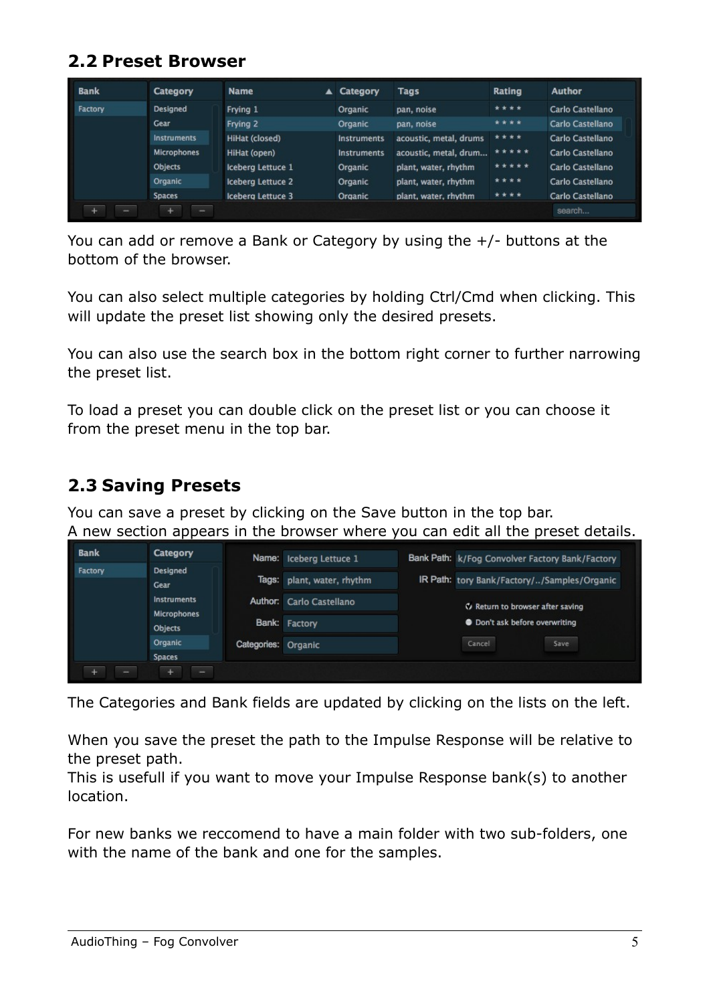#### **2.2 Preset Browser**

| <b>Bank</b> | <b>Category</b>    | <b>Name</b>              | ▲ Category         | Tags                   | Rating | Author           |
|-------------|--------------------|--------------------------|--------------------|------------------------|--------|------------------|
| Factory     | <b>Designed</b>    | Frying 1                 | Organic            | pan, noise             | ****   | Carlo Castellano |
|             | <b>Gear</b>        | Frying 2                 | Organic            | pan, noise             | ****   | Carlo Castellano |
|             | <b>Instruments</b> | HiHat (closed)           | <b>Instruments</b> | acoustic, metal, drums | ****   | Carlo Castellano |
|             | <b>Microphones</b> | HiHat (open)             | <b>Instruments</b> | acoustic, metal, drum  | *****  | Carlo Castellano |
|             | Objects            | Iceberg Lettuce 1        | Organic            | plant, water, rhythm   | *****  | Carlo Castellano |
|             | Organic            | <b>Iceberg Lettuce 2</b> | Organic            | plant, water, rhythm   | ****   | Carlo Castellano |
|             | <b>Spaces</b>      | <b>Iceberg Lettuce 3</b> | Organic            | plant, water, rhythm   | ****   | Carlo Castellano |
|             |                    |                          |                    |                        |        | search           |

You can add or remove a Bank or Category by using the +/- buttons at the bottom of the browser.

You can also select multiple categories by holding Ctrl/Cmd when clicking. This will update the preset list showing only the desired presets.

You can also use the search box in the bottom right corner to further narrowing the preset list.

To load a preset you can double click on the preset list or you can choose it from the preset menu in the top bar.

### **2.3 Saving Presets**

You can save a preset by clicking on the Save button in the top bar. A new section appears in the browser where you can edit all the preset details.

| <b>Bank</b> | <b>Category</b>                   |                     | Name: Iceberg Lettuce 1  | Bank Path: k/Fog Convolver Factory Bank/Factory |
|-------------|-----------------------------------|---------------------|--------------------------|-------------------------------------------------|
| Factory     | Designed<br><b>Gear</b>           | Tags:               | plant, water, rhythm     | IR Path: tory Bank/Factory//Samples/Organic     |
|             | Instruments<br><b>Microphones</b> |                     | Author: Carlo Castellano | V Return to browser after saving                |
|             | Objects                           |                     | Bank: Factory            | • Don't ask before overwriting                  |
|             | Organic                           | Categories: Organic |                          | Cancel<br>Save                                  |
|             | <b>Spaces</b><br>÷<br>-           |                     |                          |                                                 |

The Categories and Bank fields are updated by clicking on the lists on the left.

When you save the preset the path to the Impulse Response will be relative to the preset path.

This is usefull if you want to move your Impulse Response bank(s) to another location.

For new banks we reccomend to have a main folder with two sub-folders, one with the name of the bank and one for the samples.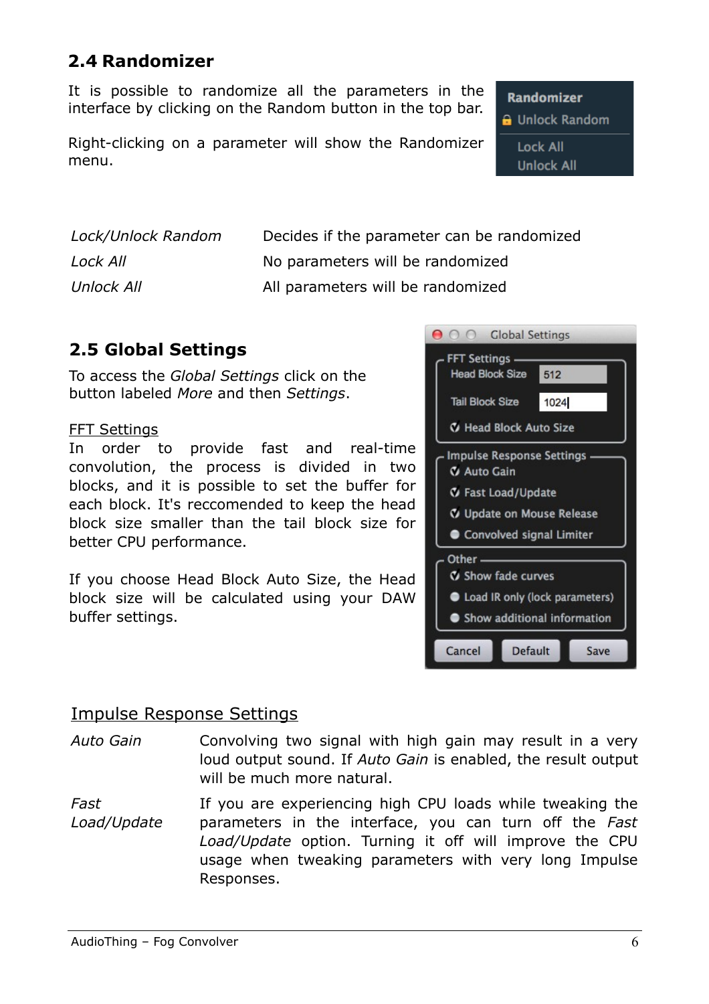#### **2.4 Randomizer**

It is possible to randomize all the parameters in the interface by clicking on the Random button in the top bar.

Right-clicking on a parameter will show the Randomizer menu.

*Lock/Unlock Random* Decides if the parameter can be randomized **Lock All** No parameters will be randomized *Unlock All* **All parameters will be randomized** 

#### **2.5 Global Settings**

To access the *Global Settings* click on the button labeled *More* and then *Settings*.

#### FFT Settings

In order to provide fast and real-time convolution, the process is divided in two blocks, and it is possible to set the buffer for each block. It's reccomended to keep the head block size smaller than the tail block size for better CPU performance.

If you choose Head Block Auto Size, the Head block size will be calculated using your DAW buffer settings.



#### Impulse Response Settings

- *Auto Gain* Convolving two signal with high gain may result in a very loud output sound. If *Auto Gain* is enabled, the result output will be much more natural.
- *Fast Load/Update* If you are experiencing high CPU loads while tweaking the parameters in the interface, you can turn off the *Fast Load/Update* option. Turning it off will improve the CPU usage when tweaking parameters with very long Impulse Responses.

**Randomizer B** Unlock Random **Lock All Unlock All**